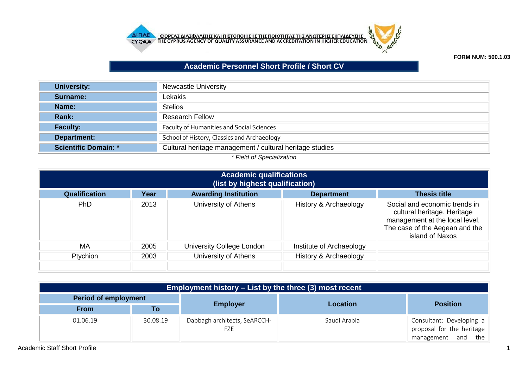



**FORM NUM: 500.1.03**

## **Academic Personnel Short Profile / Short CV**

| University:                                                     | <b>Newcastle University</b>                              |  |  |  |
|-----------------------------------------------------------------|----------------------------------------------------------|--|--|--|
| Surname:                                                        | Lekakis                                                  |  |  |  |
| Name:                                                           | <b>Stelios</b>                                           |  |  |  |
| Rank:                                                           | <b>Research Fellow</b>                                   |  |  |  |
| <b>Faculty:</b>                                                 | <b>Faculty of Humanities and Social Sciences</b>         |  |  |  |
| Department:                                                     | School of History, Classics and Archaeology              |  |  |  |
| <b>Scientific Domain: *</b>                                     | Cultural heritage management / cultural heritage studies |  |  |  |
| $*$ $\Gamma$ is talent $\Omega$ is a set of $\Gamma$ is the set |                                                          |  |  |  |

## *\* Field of Specialization*

| <b>Academic qualifications</b><br>(list by highest qualification) |                                                          |                           |                          |                                                                                                                                                     |  |  |  |
|-------------------------------------------------------------------|----------------------------------------------------------|---------------------------|--------------------------|-----------------------------------------------------------------------------------------------------------------------------------------------------|--|--|--|
| <b>Qualification</b>                                              | <b>Awarding Institution</b><br>Year<br><b>Department</b> |                           |                          |                                                                                                                                                     |  |  |  |
| <b>PhD</b>                                                        | 2013                                                     | University of Athens      | History & Archaeology    | Social and economic trends in<br>cultural heritage. Heritage<br>management at the local level.<br>The case of the Aegean and the<br>island of Naxos |  |  |  |
| MA                                                                | 2005                                                     | University College London | Institute of Archaeology |                                                                                                                                                     |  |  |  |
| Ptychion                                                          | 2003                                                     | University of Athens      | History & Archaeology    |                                                                                                                                                     |  |  |  |
|                                                                   |                                                          |                           |                          |                                                                                                                                                     |  |  |  |

| Employment history – List by the three (3) most recent |          |                                     |              |                                                                             |  |  |  |
|--------------------------------------------------------|----------|-------------------------------------|--------------|-----------------------------------------------------------------------------|--|--|--|
| <b>Period of employment</b>                            |          |                                     | Location     |                                                                             |  |  |  |
| <b>From</b>                                            | Τo       | <b>Employer</b>                     |              | <b>Position</b>                                                             |  |  |  |
| 01.06.19                                               | 30.08.19 | Dabbagh architects, SeARCCH-<br>FZE | Saudi Arabia | Consultant: Developing a<br>proposal for the heritage<br>management and the |  |  |  |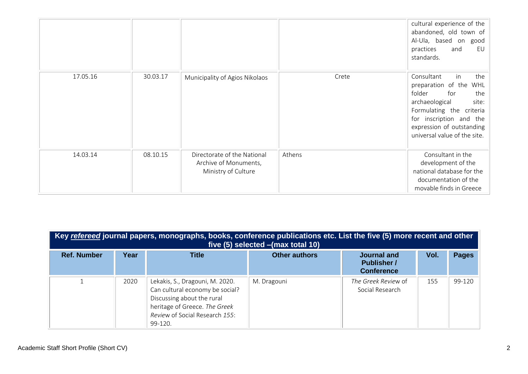|          |          |                                                                             |        | cultural experience of the<br>abandoned, old town of<br>Al-Ula, based on good<br>practices<br>and<br>EU<br>standards.                                                                                                    |
|----------|----------|-----------------------------------------------------------------------------|--------|--------------------------------------------------------------------------------------------------------------------------------------------------------------------------------------------------------------------------|
| 17.05.16 | 30.03.17 | Municipality of Agios Nikolaos                                              | Crete  | in<br>the<br>Consultant<br>preparation of the WHL<br>folder<br>for<br>the<br>archaeological<br>site:<br>Formulating the criteria<br>for inscription and the<br>expression of outstanding<br>universal value of the site. |
| 14.03.14 | 08.10.15 | Directorate of the National<br>Archive of Monuments,<br>Ministry of Culture | Athens | Consultant in the<br>development of the<br>national database for the<br>documentation of the<br>movable finds in Greece                                                                                                  |

| Key refereed journal papers, monographs, books, conference publications etc. List the five (5) more recent and other<br>five (5) selected - (max total 10) |      |                                                                                                                                                                                |                      |                                                        |      |              |  |  |
|------------------------------------------------------------------------------------------------------------------------------------------------------------|------|--------------------------------------------------------------------------------------------------------------------------------------------------------------------------------|----------------------|--------------------------------------------------------|------|--------------|--|--|
| <b>Ref. Number</b>                                                                                                                                         | Year | <b>Title</b>                                                                                                                                                                   | <b>Other authors</b> | Journal and<br><b>Publisher</b> /<br><b>Conference</b> | Vol. | <b>Pages</b> |  |  |
|                                                                                                                                                            | 2020 | Lekakis, S., Dragouni, M. 2020.<br>Can cultural economy be social?<br>Discussing about the rural<br>heritage of Greece. The Greek<br>Review of Social Research 155:<br>99-120. | M. Dragouni          | The Greek Review of<br>Social Research                 | 155  | 99-120       |  |  |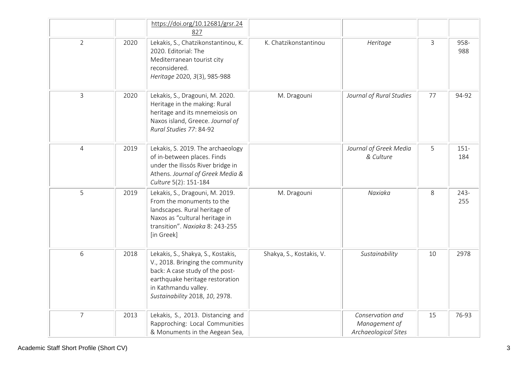|                |      | https://doi.org/10.12681/grsr.24<br>827                                                                                                                                                                |                          |                                                           |              |                |
|----------------|------|--------------------------------------------------------------------------------------------------------------------------------------------------------------------------------------------------------|--------------------------|-----------------------------------------------------------|--------------|----------------|
| $\overline{2}$ | 2020 | Lekakis, S., Chatzikonstantinou, K.<br>2020. Editorial: The<br>Mediterranean tourist city<br>reconsidered.<br>Heritage 2020, 3(3), 985-988                                                             | K. Chatzikonstantinou    | Heritage                                                  | $\mathbf{3}$ | 958-<br>988    |
| $\mathsf{3}$   | 2020 | Lekakis, S., Dragouni, M. 2020.<br>Heritage in the making: Rural<br>heritage and its mnemeiosis on<br>Naxos island, Greece. Journal of<br>Rural Studies 77: 84-92                                      | M. Dragouni              | Journal of Rural Studies                                  | 77           | 94-92          |
| $\overline{4}$ | 2019 | Lekakis, S. 2019. The archaeology<br>of in-between places. Finds<br>under the Ilissós River bridge in<br>Athens. Journal of Greek Media &<br>Culture 5(2): 151-184                                     |                          | Journal of Greek Media<br>& Culture                       | 5            | $151 -$<br>184 |
| 5              | 2019 | Lekakis, S., Dragouni, M. 2019.<br>From the monuments to the<br>landscapes. Rural heritage of<br>Naxos as "cultural heritage in<br>transition". Naxiaka 8: 243-255<br>[in Greek]                       | M. Dragouni              | Naxiaka                                                   | $8\,$        | $243-$<br>255  |
| 6              | 2018 | Lekakis, S., Shakya, S., Kostakis,<br>V., 2018. Bringing the community<br>back: A case study of the post-<br>earthquake heritage restoration<br>in Kathmandu valley.<br>Sustainability 2018, 10, 2978. | Shakya, S., Kostakis, V. | Sustainability                                            | 10           | 2978           |
| $\overline{7}$ | 2013 | Lekakis, S., 2013. Distancing and<br>Rapproching: Local Communities<br>& Monuments in the Aegean Sea,                                                                                                  |                          | Conservation and<br>Management of<br>Archaeological Sites | 15           | 76-93          |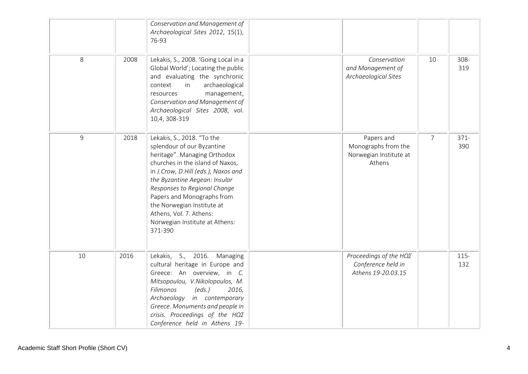|    |      | Conservation and Management of<br>Archaeological Sites 2012, 15(1),<br>76-93                                                                                                                                                                                                                                                                                             |                                                                                |                |                |
|----|------|--------------------------------------------------------------------------------------------------------------------------------------------------------------------------------------------------------------------------------------------------------------------------------------------------------------------------------------------------------------------------|--------------------------------------------------------------------------------|----------------|----------------|
| 8  | 2008 | Lekakis, S., 2008. 'Going Local in a<br>Global World'; Locating the public<br>and evaluating the synchronic<br>archaeological<br>context<br>in<br>management,<br>resources<br>Conservation and Management of<br>Archaeological Sites 2008, vol.<br>10,4, 308-319                                                                                                         | Conservation<br>and Management of<br>Archaeological Sites                      | 10             | $308 -$<br>319 |
| 9  | 2018 | Lekakis, S., 2018. "To the<br>splendour of our Byzantine<br>heritage". Managing Orthodox<br>churches in the island of Naxos,<br>in J.Crow, D.Hill (eds.), Naxos and<br>the Byzantine Aegean: Insular<br>Responses to Regional Change<br>Papers and Monographs from<br>the Norwegian Institute at<br>Athens, Vol. 7. Athens:<br>Norwegian Institute at Athens:<br>371-390 | Papers and<br>Monographs from the<br>Norwegian Institute at<br>Athens          | $\overline{7}$ | $371 -$<br>390 |
| 10 | 2016 | Lekakis, S., 2016. Managing<br>cultural heritage in Europe and<br>Greece: An overview, in C.<br>Mitsopoulou, V.Nikolopoulos, M.<br>Filimonos<br>(eds.)<br>2016,<br>Archaeology in contemporary<br>Greece. Monuments and people in<br>crisis. Proceedings of the $H\Omega\Sigma$<br>Conference held in Athens 19-                                                         | Proceedings of the $H\Omega\Sigma$<br>Conference held in<br>Athens 19-20.03.15 |                | $115 -$<br>132 |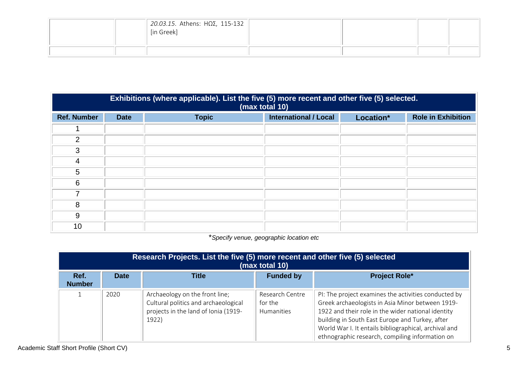| 20.03.15. Athens: H $\Omega$ 2, 115-132<br>[in Greek] |  |  |
|-------------------------------------------------------|--|--|
|                                                       |  |  |

|                    | Exhibitions (where applicable). List the five (5) more recent and other five (5) selected.<br>(max total 10) |              |                              |           |                           |  |  |
|--------------------|--------------------------------------------------------------------------------------------------------------|--------------|------------------------------|-----------|---------------------------|--|--|
| <b>Ref. Number</b> | <b>Date</b>                                                                                                  | <b>Topic</b> | <b>International / Local</b> | Location* | <b>Role in Exhibition</b> |  |  |
|                    |                                                                                                              |              |                              |           |                           |  |  |
| 2                  |                                                                                                              |              |                              |           |                           |  |  |
| 3                  |                                                                                                              |              |                              |           |                           |  |  |
| 4                  |                                                                                                              |              |                              |           |                           |  |  |
| 5                  |                                                                                                              |              |                              |           |                           |  |  |
| 6                  |                                                                                                              |              |                              |           |                           |  |  |
|                    |                                                                                                              |              |                              |           |                           |  |  |
| 8                  |                                                                                                              |              |                              |           |                           |  |  |
| 9                  |                                                                                                              |              |                              |           |                           |  |  |
| 10                 |                                                                                                              |              |                              |           |                           |  |  |

\**Specify venue, geographic location etc*

| Research Projects. List the five (5) more recent and other five (5) selected<br>(max total 10) |             |                                                                                                                         |                                          |                                                                                                                                                                                                                                                                                                                               |  |  |
|------------------------------------------------------------------------------------------------|-------------|-------------------------------------------------------------------------------------------------------------------------|------------------------------------------|-------------------------------------------------------------------------------------------------------------------------------------------------------------------------------------------------------------------------------------------------------------------------------------------------------------------------------|--|--|
| Ref.<br><b>Number</b>                                                                          | <b>Date</b> | <b>Title</b>                                                                                                            | <b>Funded by</b>                         | <b>Project Role*</b>                                                                                                                                                                                                                                                                                                          |  |  |
|                                                                                                | 2020        | Archaeology on the front line;<br>Cultural politics and archaeological<br>projects in the land of Ionia (1919-<br>1922) | Research Centre<br>for the<br>Humanities | PI: The project examines the activities conducted by<br>Greek archaeologists in Asia Minor between 1919-<br>1922 and their role in the wider national identity<br>building in South East Europe and Turkey, after<br>World War I. It entails bibliographical, archival and<br>ethnographic research, compiling information on |  |  |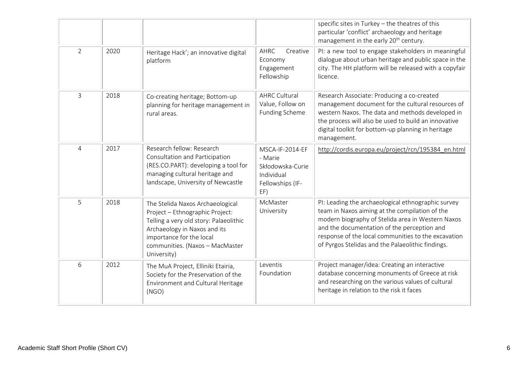|                |      |                                                                                                                                                                                                                             |                                                                                         | specific sites in Turkey - the theatres of this<br>particular 'conflict' archaeology and heritage<br>management in the early 20 <sup>th</sup> century.                                                                                                                                                               |
|----------------|------|-----------------------------------------------------------------------------------------------------------------------------------------------------------------------------------------------------------------------------|-----------------------------------------------------------------------------------------|----------------------------------------------------------------------------------------------------------------------------------------------------------------------------------------------------------------------------------------------------------------------------------------------------------------------|
| $\overline{2}$ | 2020 | Heritage Hack'; an innovative digital<br>platform                                                                                                                                                                           | AHRC<br>Creative<br>Economy<br>Engagement<br>Fellowship                                 | PI: a new tool to engage stakeholders in meaningful<br>dialogue about urban heritage and public space in the<br>city. The HH platform will be released with a copyfair<br>licence.                                                                                                                                   |
| 3              | 2018 | Co-creating heritage; Bottom-up<br>planning for heritage management in<br>rural areas.                                                                                                                                      | <b>AHRC Cultural</b><br>Value, Follow on<br>Funding Scheme                              | Research Associate: Producing a co-created<br>management document for the cultural resources of<br>western Naxos. The data and methods developed in<br>the process will also be used to build an innovative<br>digital toolkit for bottom-up planning in heritage<br>management.                                     |
| 4              | 2017 | Research fellow: Research<br>Consultation and Participation<br>(RES.CO.PART): developing a tool for<br>managing cultural heritage and<br>landscape, University of Newcastle                                                 | MSCA-IF-2014-EF<br>- Marie<br>Skłodowska-Curie<br>Individual<br>Fellowships (IF-<br>EF) | http://cordis.europa.eu/project/rcn/195384 en.html                                                                                                                                                                                                                                                                   |
| 5              | 2018 | The Stelida Naxos Archaeological<br>Project - Ethnographic Project:<br>Telling a very old story: Palaeolithic<br>Archaeology in Naxos and its<br>importance for the local<br>communities. (Naxos - MacMaster<br>University) | McMaster<br>University                                                                  | PI: Leading the archaeological ethnographic survey<br>team in Naxos aiming at the compilation of the<br>modern biography of Stelida area in Western Naxos<br>and the documentation of the perception and<br>response of the local communities to the excavation<br>of Pyrgos Stelidas and the Palaeolithic findings. |
| 6              | 2012 | The MuA Project, Elliniki Etairia,<br>Society for the Preservation of the<br>Environment and Cultural Heritage<br>(NGO)                                                                                                     | Leventis<br>Foundation                                                                  | Project manager/idea: Creating an interactive<br>database concerning monuments of Greece at risk<br>and researching on the various values of cultural<br>heritage in relation to the risk it faces                                                                                                                   |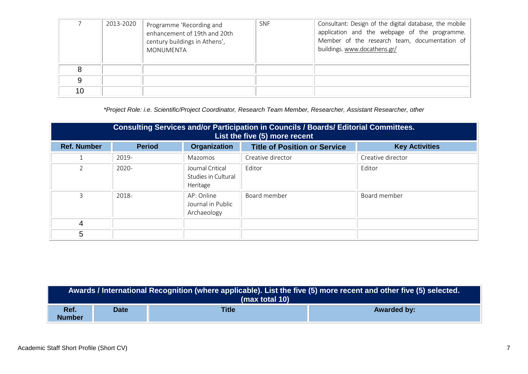|    | 2013-2020 | Programme 'Recording and<br>enhancement of 19th and 20th<br>century buildings in Athens',<br>MONUMENTA | <b>SNF</b> | Consultant: Design of the digital database, the mobile<br>application and the webpage of the programme.<br>Member of the research team, documentation of<br>buildings. www.docathens.gr/ |
|----|-----------|--------------------------------------------------------------------------------------------------------|------------|------------------------------------------------------------------------------------------------------------------------------------------------------------------------------------------|
|    |           |                                                                                                        |            |                                                                                                                                                                                          |
|    |           |                                                                                                        |            |                                                                                                                                                                                          |
| 10 |           |                                                                                                        |            |                                                                                                                                                                                          |

*\*Project Role: i.e. Scientific/Project Coordinator, Research Team Member, Researcher, Assistant Researcher, other*

| Consulting Services and/or Participation in Councils / Boards/ Editorial Committees.<br>List the five (5) more recent |               |                                                     |                                     |                       |
|-----------------------------------------------------------------------------------------------------------------------|---------------|-----------------------------------------------------|-------------------------------------|-----------------------|
| <b>Ref. Number</b>                                                                                                    | <b>Period</b> | Organization                                        | <b>Title of Position or Service</b> | <b>Key Activities</b> |
|                                                                                                                       | 2019-         | Mazomos                                             | Creative director                   | Creative director     |
| っ                                                                                                                     | 2020-         | Journal Critical<br>Studies in Cultural<br>Heritage | Editor                              | Editor                |
| ς                                                                                                                     | 2018-         | AP: Online<br>Journal in Public<br>Archaeology      | Board member                        | Board member          |
| 4                                                                                                                     |               |                                                     |                                     |                       |
| 5                                                                                                                     |               |                                                     |                                     |                       |

| Awards / International Recognition (where applicable). List the five (5) more recent and other five (5) selected. <sup>1</sup><br>(max total 10) |             |              |                    |
|--------------------------------------------------------------------------------------------------------------------------------------------------|-------------|--------------|--------------------|
| Ref.<br><b>Number</b>                                                                                                                            | <b>Date</b> | <b>Title</b> | <b>Awarded by:</b> |